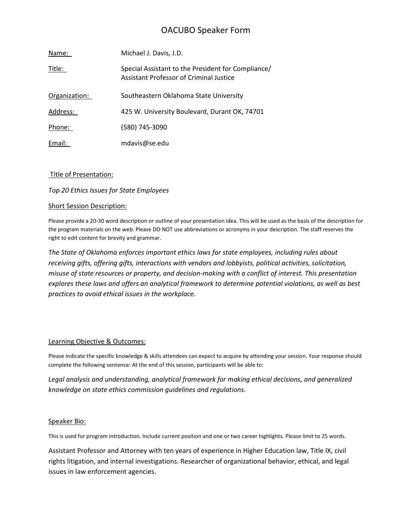# OACUBO Speaker Form

| Name:         | Michael J. Davis, J.D.                                                                               |
|---------------|------------------------------------------------------------------------------------------------------|
| Title:        | Special Assistant to the President for Compliance/<br><b>Assistant Professor of Criminal Justice</b> |
| Organization: | Southeastern Oklahoma State University                                                               |
| Address:      | 425 W. University Boulevard, Durant OK, 74701                                                        |
| Phone:        | (580) 745-3090                                                                                       |
| Email:        | mdavis@se.edu                                                                                        |

# Title of Presentation:

# *Top 20 Ethics Issues for State Employees*

### Short Session Description:

Please provide a 20-30 word description or outline of your presentation idea. This will be used as the basis of the description for the program materials on the web. Please DO NOT use abbreviations or acronyms in your description. The staff reserves the right to edit content for brevity and grammar.

*The State of Oklahoma enforces important ethics laws for state employees, including rules about receiving gifts, offering gifts, interactions with vendors and lobbyists, political activities, solicitation, misuse of state resources or property, and decision-making with a conflict of interest. This presentation explores these laws and offers an analytical framework to determine potential violations, as well as best practices to avoid ethical issues in the workplace.*

### Learning Objective & Outcomes:

Please indicate the specific knowledge & skills attendees can expect to acquire by attending your session. Your response should complete the following sentence: At the end of this session, participants will be able to:

*Legal analysis and understanding, analytical framework for making ethical decisions, and generalized knowledge on state ethics commission guidelines and regulations.*

### Speaker Bio:

This is used for program introduction. Include current position and one or two career highlights. Please limit to 25 words.

Assistant Professor and Attorney with ten years of experience in Higher Education law, Title IX, civil rights litigation, and internal investigations. Researcher of organizational behavior, ethical, and legal issues in law enforcement agencies.